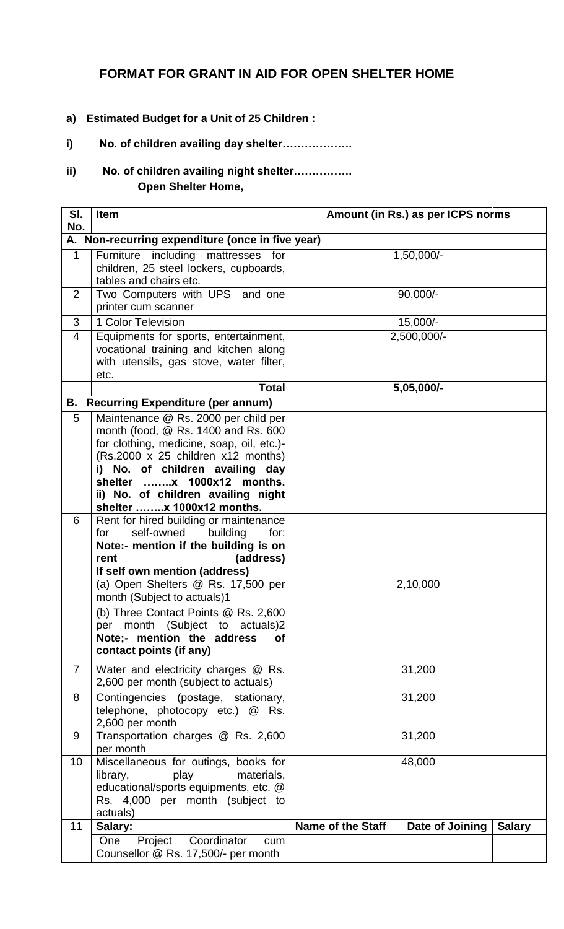## **FORMAT FOR GRANT IN AID FOR OPEN SHELTER HOME**

- **a) Estimated Budget for a Unit of 25 Children :**
- **i) No. of children availing day shelter……………….**

## **ii) No. of children availing night shelter……………. Open Shelter Home,**

| SI.<br>No.     | <b>Item</b>                                                                                                                                                                                                                                                          | Amount (in Rs.) as per ICPS norms |                 |               |  |
|----------------|----------------------------------------------------------------------------------------------------------------------------------------------------------------------------------------------------------------------------------------------------------------------|-----------------------------------|-----------------|---------------|--|
|                | A. Non-recurring expenditure (once in five year)                                                                                                                                                                                                                     |                                   |                 |               |  |
| $\mathbf{1}$   | Furniture including<br>mattresses<br>for<br>children, 25 steel lockers, cupboards,<br>tables and chairs etc.                                                                                                                                                         | 1,50,000/-                        |                 |               |  |
| $\overline{2}$ | Two Computers with UPS and one<br>printer cum scanner                                                                                                                                                                                                                | $90,000/-$                        |                 |               |  |
| 3              | 1 Color Television                                                                                                                                                                                                                                                   | 15,000/-                          |                 |               |  |
| 4              | Equipments for sports, entertainment,<br>vocational training and kitchen along<br>with utensils, gas stove, water filter,<br>etc.                                                                                                                                    |                                   | 2,500,000/-     |               |  |
|                | <b>Total</b>                                                                                                                                                                                                                                                         |                                   | 5,05,000/-      |               |  |
|                | <b>B.</b> Recurring Expenditure (per annum)                                                                                                                                                                                                                          |                                   |                 |               |  |
| 5              | Maintenance @ Rs. 2000 per child per<br>month (food, @ Rs. 1400 and Rs. 600<br>for clothing, medicine, soap, oil, etc.)-<br>(Rs.2000 x 25 children x12 months)<br>i) No. of children availing day<br>ii) No. of children availing night<br>shelter x 1000x12 months. |                                   |                 |               |  |
| 6              | Rent for hired building or maintenance<br>self-owned<br>building<br>for:<br>for<br>Note:- mention if the building is on<br>(address)<br>rent<br>If self own mention (address)                                                                                        |                                   |                 |               |  |
|                | (a) Open Shelters @ Rs. 17,500 per<br>month (Subject to actuals)1                                                                                                                                                                                                    | 2,10,000                          |                 |               |  |
|                | (b) Three Contact Points @ Rs. 2,600<br>per month (Subject to actuals)2<br>Note;- mention the address<br>Οf<br>contact points (if any)                                                                                                                               |                                   |                 |               |  |
| $\overline{7}$ | Water and electricity charges @ Rs.<br>2,600 per month (subject to actuals)                                                                                                                                                                                          | 31,200                            |                 |               |  |
| 8              | Contingencies (postage, stationary,<br>telephone, photocopy etc.) @ Rs.<br>2,600 per month                                                                                                                                                                           | 31,200                            |                 |               |  |
| 9              | Transportation charges @ Rs. 2,600<br>per month                                                                                                                                                                                                                      | 31,200                            |                 |               |  |
| 10             | Miscellaneous for outings, books for<br>play<br>materials,<br>library,<br>educational/sports equipments, etc. @<br>Rs. 4,000 per month (subject to<br>actuals)                                                                                                       | 48,000                            |                 |               |  |
| 11             | Salary:                                                                                                                                                                                                                                                              | <b>Name of the Staff</b>          | Date of Joining | <b>Salary</b> |  |
|                | One<br>Coordinator<br>Project<br>cum<br>Counsellor @ Rs. 17,500/- per month                                                                                                                                                                                          |                                   |                 |               |  |